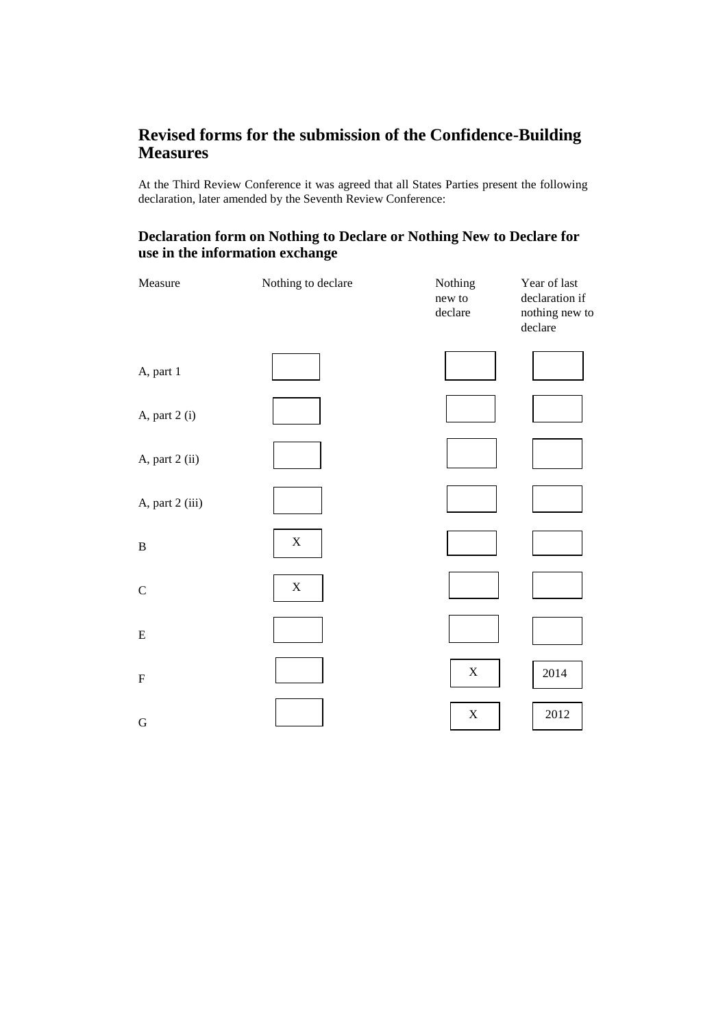# **Revised forms for the submission of the Confidence-Building Measures**

At the Third Review Conference it was agreed that all States Parties present the following declaration, later amended by the Seventh Review Conference:

# **Declaration form on Nothing to Declare or Nothing New to Declare for use in the information exchange**

| Measure                   | Nothing to declare | Nothing<br>new to<br>declare | Year of last<br>declaration if<br>nothing new to<br>declare |
|---------------------------|--------------------|------------------------------|-------------------------------------------------------------|
| A, part 1                 |                    |                              |                                                             |
| A, part 2 (i)             |                    |                              |                                                             |
| A, part 2 (ii)            |                    |                              |                                                             |
| A, part 2 (iii)           |                    |                              |                                                             |
| $\, {\bf B}$              | $\mathbf X$        |                              |                                                             |
| ${\bf C}$                 | $\mathbf X$        |                              |                                                             |
| ${\bf E}$                 |                    |                              |                                                             |
| $\boldsymbol{\mathrm{F}}$ |                    | $\mathbf X$                  | 2014                                                        |
| ${\bf G}$                 |                    | $\mathbf X$                  | 2012                                                        |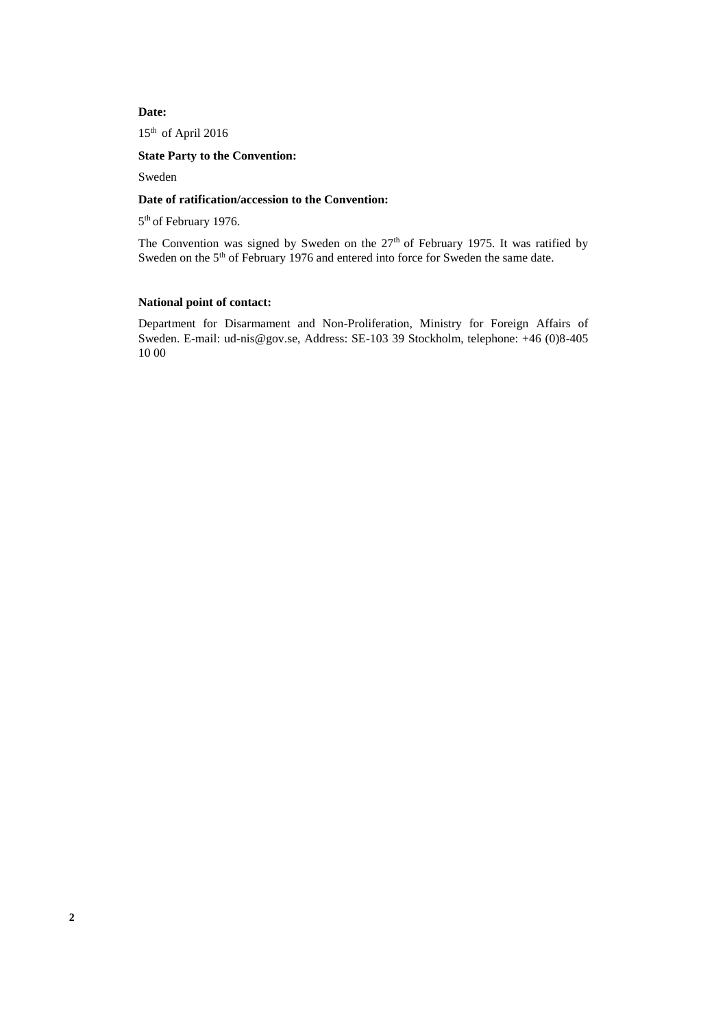#### **Date:**

15th of April 2016

#### **State Party to the Convention:**

Sweden

#### **Date of ratification/accession to the Convention:**

5<sup>th</sup> of February 1976.

The Convention was signed by Sweden on the 27<sup>th</sup> of February 1975. It was ratified by Sweden on the 5<sup>th</sup> of February 1976 and entered into force for Sweden the same date.

### **National point of contact:**

Department for Disarmament and Non-Proliferation, Ministry for Foreign Affairs of Sweden. E-mail: [ud-nis@gov.se,](mailto:ud-nis@gov.se) Address: SE-103 39 Stockholm, telephone: +46 (0)8-405 10 00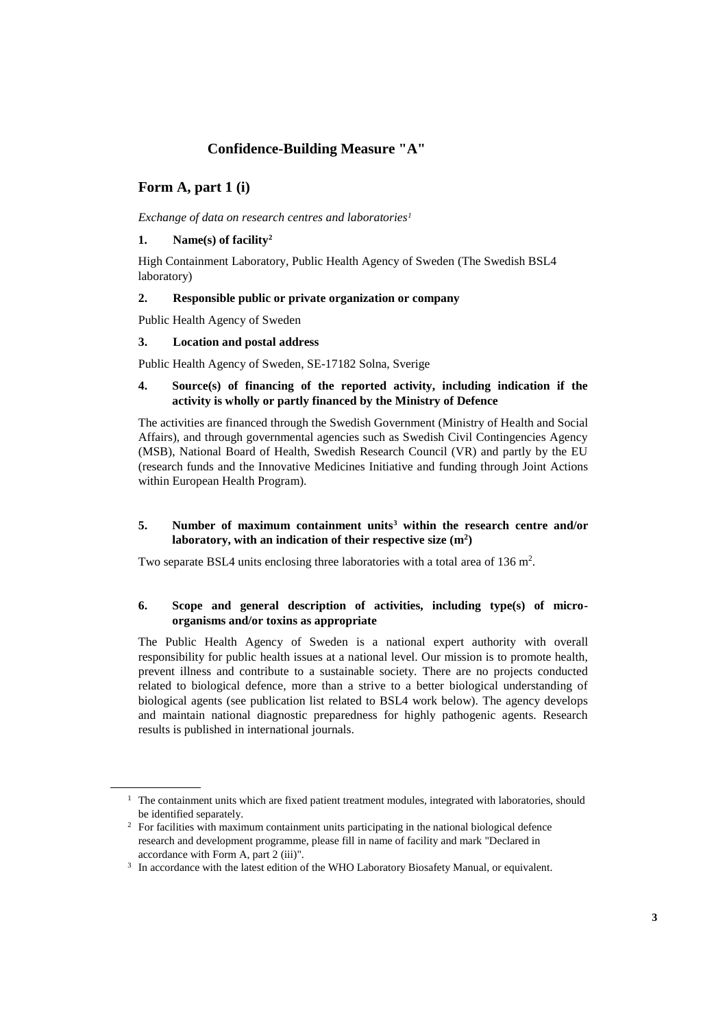# **Confidence-Building Measure "A"**

# **Form A, part 1 (i)**

*Exchange of data on research centres and laboratories<sup>1</sup>*

#### **1. Name(s) of facility<sup>2</sup>**

High Containment Laboratory, Public Health Agency of Sweden (The Swedish BSL4 laboratory)

#### **2. Responsible public or private organization or company**

Public Health Agency of Sweden

#### **3. Location and postal address**

Public Health Agency of Sweden, SE-17182 Solna, Sverige

#### **4. Source(s) of financing of the reported activity, including indication if the activity is wholly or partly financed by the Ministry of Defence**

The activities are financed through the Swedish Government (Ministry of Health and Social Affairs), and through governmental agencies such as Swedish Civil Contingencies Agency (MSB), National Board of Health, Swedish Research Council (VR) and partly by the EU (research funds and the Innovative Medicines Initiative and funding through Joint Actions within European Health Program).

#### **5. Number of maximum containment units<sup>3</sup> within the research centre and/or laboratory, with an indication of their respective size (m<sup>2</sup> )**

Two separate BSL4 units enclosing three laboratories with a total area of 136 m<sup>2</sup>.

#### **6. Scope and general description of activities, including type(s) of microorganisms and/or toxins as appropriate**

The Public Health Agency of Sweden is a national expert authority with overall responsibility for public health issues at a national level. Our mission is to promote health, prevent illness and contribute to a sustainable society. There are no projects conducted related to biological defence, more than a strive to a better biological understanding of biological agents (see publication list related to BSL4 work below). The agency develops and maintain national diagnostic preparedness for highly pathogenic agents. Research results is published in international journals.

 $1$  The containment units which are fixed patient treatment modules, integrated with laboratories, should be identified separately.

<sup>&</sup>lt;sup>2</sup> For facilities with maximum containment units participating in the national biological defence research and development programme, please fill in name of facility and mark "Declared in accordance with Form A, part 2 (iii)".

<sup>&</sup>lt;sup>3</sup> In accordance with the latest edition of the WHO Laboratory Biosafety Manual, or equivalent.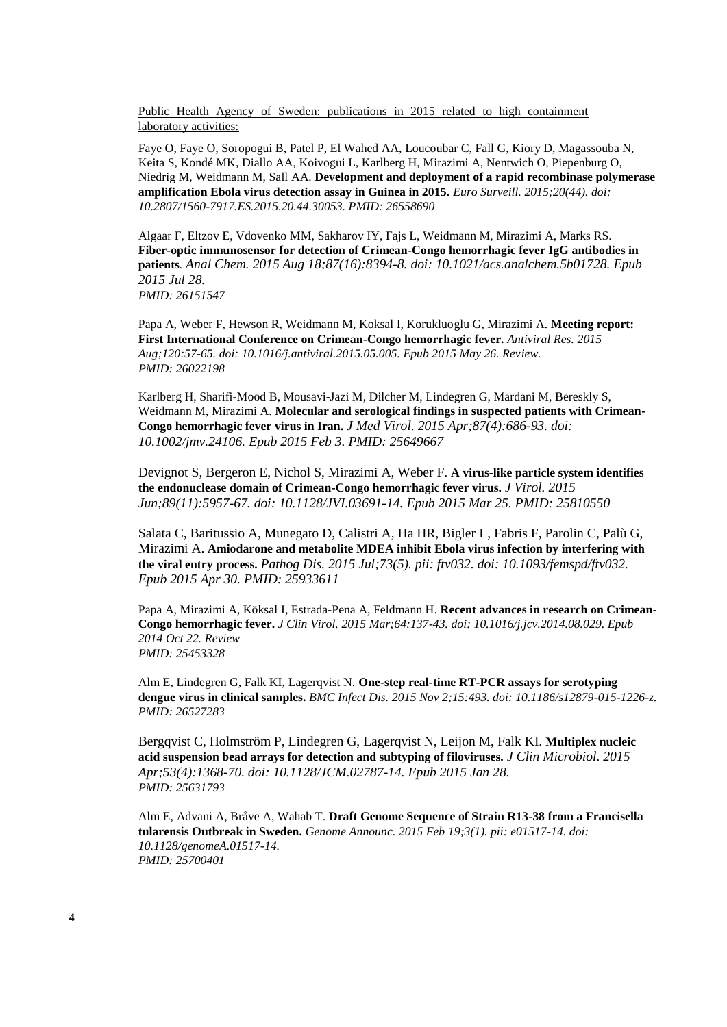Public Health Agency of Sweden: publications in 2015 related to high containment laboratory activities:

Faye O, Faye O, Soropogui B, Patel P, El Wahed AA, Loucoubar C, Fall G, Kiory D, Magassouba N, Keita S, Kondé MK, Diallo AA, Koivogui L, Karlberg H, Mirazimi A, Nentwich O, Piepenburg O, Niedrig M, Weidmann M, Sall AA. **Development and deployment of a rapid recombinase polymerase amplification Ebola virus detection assay in Guinea in 2015.** *Euro Surveill. 2015;20(44). doi: 10.2807/1560-7917.ES.2015.20.44.30053. PMID: 26558690*

Algaar F, Eltzov E, Vdovenko MM, Sakharov IY, Fajs L, Weidmann M, Mirazimi A, Marks RS. **Fiber-optic immunosensor for detection of Crimean-Congo hemorrhagic fever IgG antibodies in patients***. Anal Chem. 2015 Aug 18;87(16):8394-8. doi: 10.1021/acs.analchem.5b01728. Epub 2015 Jul 28. PMID: 26151547*

Papa A, Weber F, Hewson R, Weidmann M, Koksal I, Korukluoglu G, Mirazimi A. **Meeting report: First International Conference on Crimean-Congo hemorrhagic fever.** *Antiviral Res. 2015 Aug;120:57-65. doi: 10.1016/j.antiviral.2015.05.005. Epub 2015 May 26. Review. PMID: 26022198*

Karlberg H, Sharifi-Mood B, Mousavi-Jazi M, Dilcher M, Lindegren G, Mardani M, Bereskly S, Weidmann M, Mirazimi A. **Molecular and serological findings in suspected patients with Crimean-Congo hemorrhagic fever virus in Iran.** *J Med Virol. 2015 Apr;87(4):686-93. doi: 10.1002/jmv.24106. Epub 2015 Feb 3. PMID: 25649667*

Devignot S, Bergeron E, Nichol S, Mirazimi A, Weber F. **A virus-like particle system identifies the endonuclease domain of Crimean-Congo hemorrhagic fever virus.** *J Virol. 2015 Jun;89(11):5957-67. doi: 10.1128/JVI.03691-14. Epub 2015 Mar 25. PMID: 25810550*

Salata C, Baritussio A, Munegato D, Calistri A, Ha HR, Bigler L, Fabris F, Parolin C, Palù G, Mirazimi A. **Amiodarone and metabolite MDEA inhibit Ebola virus infection by interfering with the viral entry process.** *Pathog Dis. 2015 Jul;73(5). pii: ftv032. doi: 10.1093/femspd/ftv032. Epub 2015 Apr 30. PMID: 25933611*

Papa A, Mirazimi A, Köksal I, Estrada-Pena A, Feldmann H. **Recent advances in research on Crimean-Congo hemorrhagic fever.** *J Clin Virol. 2015 Mar;64:137-43. doi: 10.1016/j.jcv.2014.08.029. Epub 2014 Oct 22. Review PMID: 25453328*

Alm E, Lindegren G, Falk KI, Lagerqvist N. **One-step real-time RT-PCR assays for serotyping dengue virus in clinical samples.** *BMC Infect Dis. 2015 Nov 2;15:493. doi: 10.1186/s12879-015-1226-z. PMID: 26527283*

Bergqvist C, Holmström P, Lindegren G, Lagerqvist N, Leijon M, Falk KI. **Multiplex nucleic acid suspension bead arrays for detection and subtyping of filoviruses.** *J Clin Microbiol. 2015 Apr;53(4):1368-70. doi: 10.1128/JCM.02787-14. Epub 2015 Jan 28. PMID: 25631793*

Alm E, Advani A, Bråve A, Wahab T. **Draft Genome Sequence of Strain R13-38 from a Francisella tularensis Outbreak in Sweden.** *Genome Announc. 2015 Feb 19;3(1). pii: e01517-14. doi: 10.1128/genomeA.01517-14. PMID: 25700401*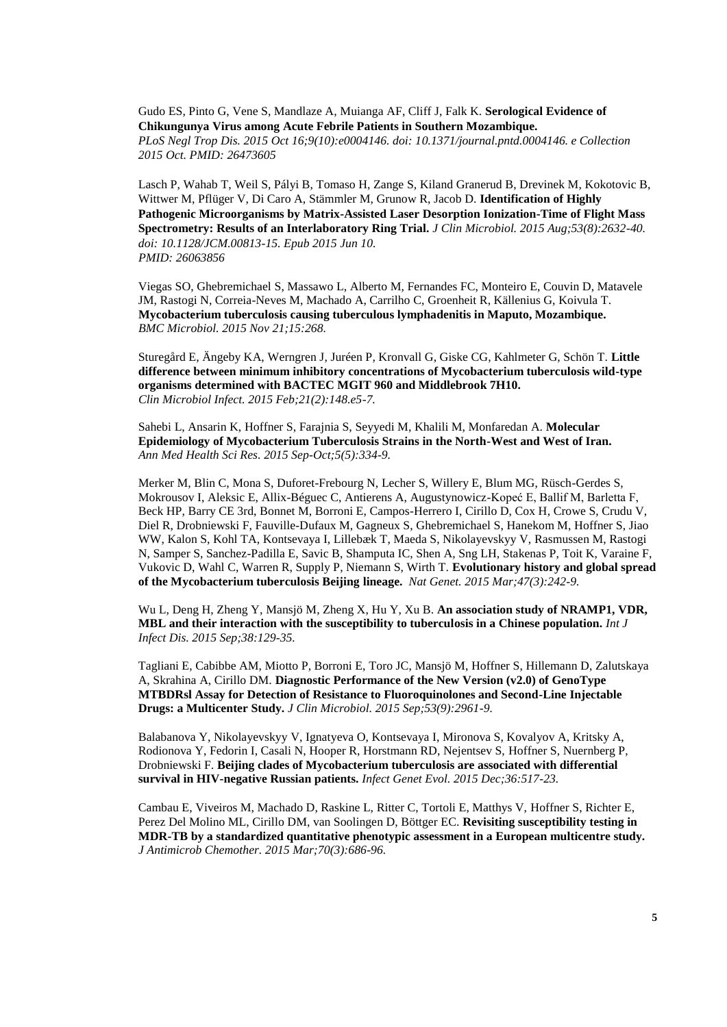Gudo ES, Pinto G, Vene S, Mandlaze A, Muianga AF, Cliff J, Falk K. **Serological Evidence of Chikungunya Virus among Acute Febrile Patients in Southern Mozambique.** *PLoS Negl Trop Dis. 2015 Oct 16;9(10):e0004146. doi: 10.1371/journal.pntd.0004146. e Collection 2015 Oct. PMID: 26473605*

Lasch P, Wahab T, Weil S, Pályi B, Tomaso H, Zange S, Kiland Granerud B, Drevinek M, Kokotovic B, Wittwer M, Pflüger V, Di Caro A, Stämmler M, Grunow R, Jacob D. **Identification of Highly Pathogenic Microorganisms by Matrix-Assisted Laser Desorption Ionization-Time of Flight Mass Spectrometry: Results of an Interlaboratory Ring Trial.** *J Clin Microbiol. 2015 Aug;53(8):2632-40. doi: 10.1128/JCM.00813-15. Epub 2015 Jun 10. PMID: 26063856*

Viegas SO, Ghebremichael S, Massawo L, Alberto M, Fernandes FC, Monteiro E, Couvin D, Matavele JM, Rastogi N, Correia-Neves M, Machado A, Carrilho C, Groenheit R, Källenius G, Koivula T. **[Mycobacterium tuberculosis causing tuberculous lymphadenitis in Maputo, Mozambique.](http://www.ncbi.nlm.nih.gov/pubmed/26589993)** *BMC Microbiol. 2015 Nov 21;15:268.*

Sturegård E, Ängeby KA, Werngren J, Juréen P, Kronvall G, Giske CG, Kahlmeter G, Schön T. **[Little](http://www.ncbi.nlm.nih.gov/pubmed/25640156)  [difference between minimum inhibitory concentrations of Mycobacterium tuberculosis wild-type](http://www.ncbi.nlm.nih.gov/pubmed/25640156)  [organisms determined with BACTEC MGIT 960 and Middlebrook 7H10.](http://www.ncbi.nlm.nih.gov/pubmed/25640156)** *Clin Microbiol Infect. 2015 Feb;21(2):148.e5-7.*

Sahebi L, Ansarin K, Hoffner S, Farajnia S, Seyyedi M, Khalili M, Monfaredan A. **[Molecular](http://www.ncbi.nlm.nih.gov/pubmed/26500790)  [Epidemiology of Mycobacterium Tuberculosis Strains in the North-West and West of Iran.](http://www.ncbi.nlm.nih.gov/pubmed/26500790)** *Ann Med Health Sci Res. 2015 Sep-Oct;5(5):334-9.*

Merker M, Blin C, Mona S, Duforet-Frebourg N, Lecher S, Willery E, Blum MG, Rüsch-Gerdes S, Mokrousov I, Aleksic E, Allix-Béguec C, Antierens A, Augustynowicz-Kopeć E, Ballif M, Barletta F, Beck HP, Barry CE 3rd, Bonnet M, Borroni E, Campos-Herrero I, Cirillo D, Cox H, Crowe S, Crudu V, Diel R, Drobniewski F, Fauville-Dufaux M, Gagneux S, Ghebremichael S, Hanekom M, Hoffner S, Jiao WW, Kalon S, Kohl TA, Kontsevaya I, Lillebæk T, Maeda S, Nikolayevskyy V, Rasmussen M, Rastogi N, Samper S, Sanchez-Padilla E, Savic B, Shamputa IC, Shen A, Sng LH, Stakenas P, Toit K, Varaine F, Vukovic D, Wahl C, Warren R, Supply P, Niemann S, Wirth T. **[Evolutionary history and global spread](http://www.ncbi.nlm.nih.gov/pubmed/25599400)  [of the Mycobacterium tuberculosis Beijing lineage.](http://www.ncbi.nlm.nih.gov/pubmed/25599400)** *Nat Genet. 2015 Mar;47(3):242-9.*

Wu L, Deng H, Zheng Y, Mansjö M, Zheng X, Hu Y, Xu B. **[An association study of NRAMP1, VDR,](http://www.ncbi.nlm.nih.gov/pubmed/26261060)  [MBL and their interaction with the susceptibility to tuberculosis in a Chinese population.](http://www.ncbi.nlm.nih.gov/pubmed/26261060)** *Int J Infect Dis. 2015 Sep;38:129-35.*

Tagliani E, Cabibbe AM, Miotto P, Borroni E, Toro JC, Mansjö M, Hoffner S, Hillemann D, Zalutskaya A, Skrahina A, Cirillo DM. **[Diagnostic Performance of the New Version \(v2.0\) of GenoType](http://www.ncbi.nlm.nih.gov/pubmed/26179309)  [MTBDRsl Assay for Detection of Resistance to Fluoroquinolones and Second-Line Injectable](http://www.ncbi.nlm.nih.gov/pubmed/26179309)  [Drugs: a Multicenter Study.](http://www.ncbi.nlm.nih.gov/pubmed/26179309)** *J Clin Microbiol. 2015 Sep;53(9):2961-9.*

Balabanova Y, Nikolayevskyy V, Ignatyeva O, Kontsevaya I, Mironova S, Kovalyov A, Kritsky A, Rodionova Y, Fedorin I, Casali N, Hooper R, Horstmann RD, Nejentsev S, Hoffner S, Nuernberg P, Drobniewski F. **[Beijing clades of Mycobacterium tuberculosis are associated with differential](http://www.ncbi.nlm.nih.gov/pubmed/26319998)  [survival in HIV-negative Russian patients.](http://www.ncbi.nlm.nih.gov/pubmed/26319998)** *Infect Genet Evol. 2015 Dec;36:517-23.*

Cambau E, Viveiros M, Machado D, Raskine L, Ritter C, Tortoli E, Matthys V, Hoffner S, Richter E, Perez Del Molino ML, Cirillo DM, van Soolingen D, Böttger EC. **[Revisiting susceptibility testing in](http://www.ncbi.nlm.nih.gov/pubmed/25587993)  [MDR-TB by a standardized quantitative phenotypic assessment in a European multicentre study.](http://www.ncbi.nlm.nih.gov/pubmed/25587993)** *J Antimicrob Chemother. 2015 Mar;70(3):686-96.*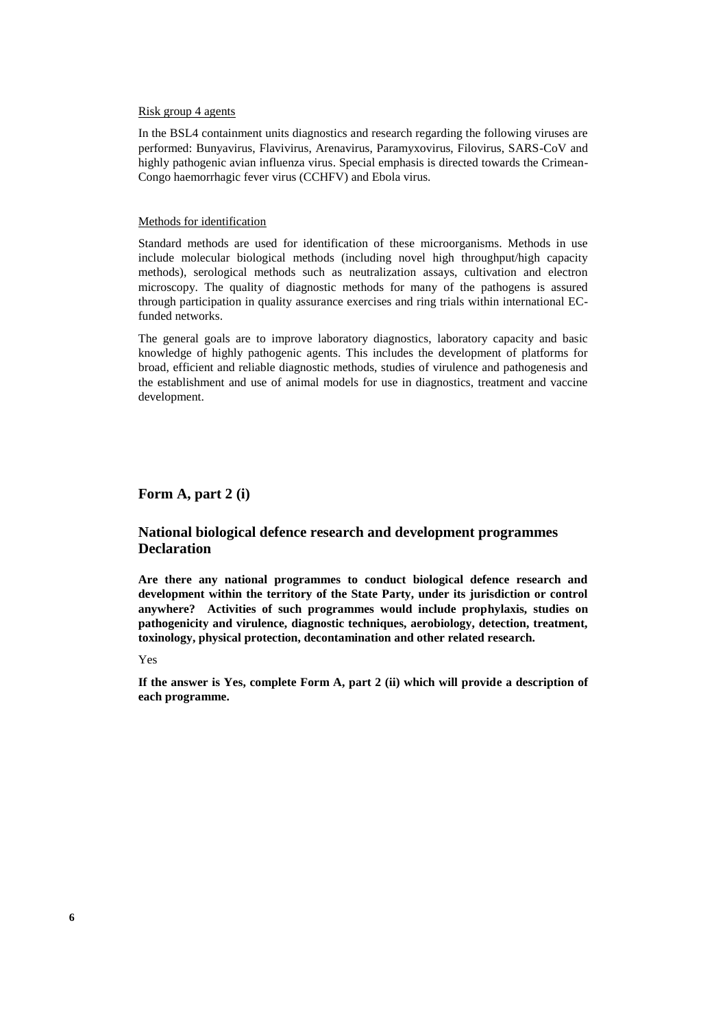#### Risk group 4 agents

In the BSL4 containment units diagnostics and research regarding the following viruses are performed: Bunyavirus, Flavivirus, Arenavirus, Paramyxovirus, Filovirus, SARS-CoV and highly pathogenic avian influenza virus. Special emphasis is directed towards the Crimean-Congo haemorrhagic fever virus (CCHFV) and Ebola virus.

#### Methods for identification

Standard methods are used for identification of these microorganisms. Methods in use include molecular biological methods (including novel high throughput/high capacity methods), serological methods such as neutralization assays, cultivation and electron microscopy. The quality of diagnostic methods for many of the pathogens is assured through participation in quality assurance exercises and ring trials within international ECfunded networks.

The general goals are to improve laboratory diagnostics, laboratory capacity and basic knowledge of highly pathogenic agents. This includes the development of platforms for broad, efficient and reliable diagnostic methods, studies of virulence and pathogenesis and the establishment and use of animal models for use in diagnostics, treatment and vaccine development.

#### **Form A, part 2 (i)**

## **National biological defence research and development programmes Declaration**

**Are there any national programmes to conduct biological defence research and development within the territory of the State Party, under its jurisdiction or control anywhere? Activities of such programmes would include prophylaxis, studies on pathogenicity and virulence, diagnostic techniques, aerobiology, detection, treatment, toxinology, physical protection, decontamination and other related research.**

#### Yes

**If the answer is Yes, complete Form A, part 2 (ii) which will provide a description of each programme.**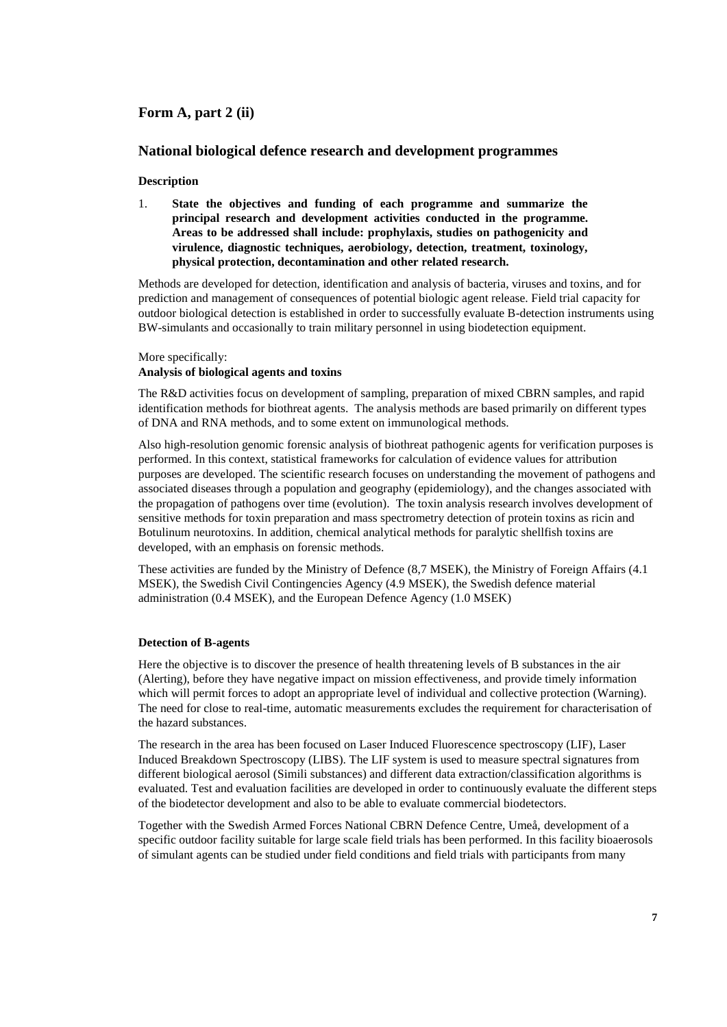# **Form A, part 2 (ii)**

#### **National biological defence research and development programmes**

#### **Description**

1. **State the objectives and funding of each programme and summarize the principal research and development activities conducted in the programme. Areas to be addressed shall include: prophylaxis, studies on pathogenicity and virulence, diagnostic techniques, aerobiology, detection, treatment, toxinology, physical protection, decontamination and other related research.**

Methods are developed for detection, identification and analysis of bacteria, viruses and toxins, and for prediction and management of consequences of potential biologic agent release. Field trial capacity for outdoor biological detection is established in order to successfully evaluate B-detection instruments using BW-simulants and occasionally to train military personnel in using biodetection equipment.

#### More specifically:

## **Analysis of biological agents and toxins**

The R&D activities focus on development of sampling, preparation of mixed CBRN samples, and rapid identification methods for biothreat agents. The analysis methods are based primarily on different types of DNA and RNA methods, and to some extent on immunological methods.

Also high-resolution genomic forensic analysis of biothreat pathogenic agents for verification purposes is performed. In this context, statistical frameworks for calculation of evidence values for attribution purposes are developed. The scientific research focuses on understanding the movement of pathogens and associated diseases through a population and geography (epidemiology), and the changes associated with the propagation of pathogens over time (evolution). The toxin analysis research involves development of sensitive methods for toxin preparation and mass spectrometry detection of protein toxins as ricin and Botulinum neurotoxins. In addition, chemical analytical methods for paralytic shellfish toxins are developed, with an emphasis on forensic methods.

These activities are funded by the Ministry of Defence (8,7 MSEK), the Ministry of Foreign Affairs (4.1 MSEK), the Swedish Civil Contingencies Agency (4.9 MSEK), the Swedish defence material administration (0.4 MSEK), and the European Defence Agency (1.0 MSEK)

#### **Detection of B-agents**

Here the objective is to discover the presence of health threatening levels of B substances in the air (Alerting), before they have negative impact on mission effectiveness, and provide timely information which will permit forces to adopt an appropriate level of individual and collective protection (Warning). The need for close to real-time, automatic measurements excludes the requirement for characterisation of the hazard substances.

The research in the area has been focused on Laser Induced Fluorescence spectroscopy (LIF), Laser Induced Breakdown Spectroscopy (LIBS). The LIF system is used to measure spectral signatures from different biological aerosol (Simili substances) and different data extraction/classification algorithms is evaluated. Test and evaluation facilities are developed in order to continuously evaluate the different steps of the biodetector development and also to be able to evaluate commercial biodetectors.

Together with the Swedish Armed Forces National CBRN Defence Centre, Umeå, development of a specific outdoor facility suitable for large scale field trials has been performed. In this facility bioaerosols of simulant agents can be studied under field conditions and field trials with participants from many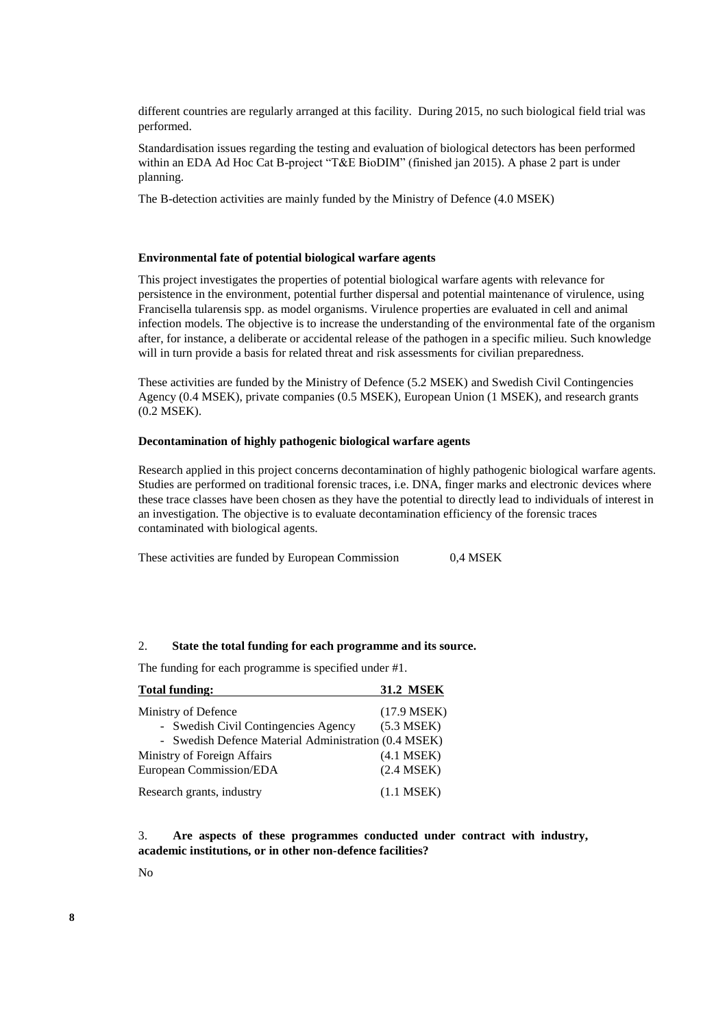different countries are regularly arranged at this facility. During 2015, no such biological field trial was performed.

Standardisation issues regarding the testing and evaluation of biological detectors has been performed within an EDA Ad Hoc Cat B-project "T&E BioDIM" (finished jan 2015). A phase 2 part is under planning.

The B-detection activities are mainly funded by the Ministry of Defence (4.0 MSEK)

#### **Environmental fate of potential biological warfare agents**

This project investigates the properties of potential biological warfare agents with relevance for persistence in the environment, potential further dispersal and potential maintenance of virulence, using Francisella tularensis spp. as model organisms. Virulence properties are evaluated in cell and animal infection models. The objective is to increase the understanding of the environmental fate of the organism after, for instance, a deliberate or accidental release of the pathogen in a specific milieu. Such knowledge will in turn provide a basis for related threat and risk assessments for civilian preparedness.

These activities are funded by the Ministry of Defence (5.2 MSEK) and Swedish Civil Contingencies Agency (0.4 MSEK), private companies (0.5 MSEK), European Union (1 MSEK), and research grants (0.2 MSEK).

#### **Decontamination of highly pathogenic biological warfare agents**

Research applied in this project concerns decontamination of highly pathogenic biological warfare agents. Studies are performed on traditional forensic traces, i.e. DNA, finger marks and electronic devices where these trace classes have been chosen as they have the potential to directly lead to individuals of interest in an investigation. The objective is to evaluate decontamination efficiency of the forensic traces contaminated with biological agents.

These activities are funded by European Commission 0.4 MSEK

#### 2. **State the total funding for each programme and its source.**

The funding for each programme is specified under #1.

| <b>Total funding:</b>                                | <b>31.2 MSEK</b> |
|------------------------------------------------------|------------------|
| Ministry of Defence                                  | $(17.9$ MSEK)    |
| - Swedish Civil Contingencies Agency                 | $(5.3$ MSEK)     |
| - Swedish Defence Material Administration (0.4 MSEK) |                  |
| Ministry of Foreign Affairs                          | $(4.1$ MSEK $)$  |
| European Commission/EDA                              | $(2.4$ MSEK)     |
| Research grants, industry                            | $(1.1$ MSEK)     |

3. **Are aspects of these programmes conducted under contract with industry, academic institutions, or in other non-defence facilities?**

No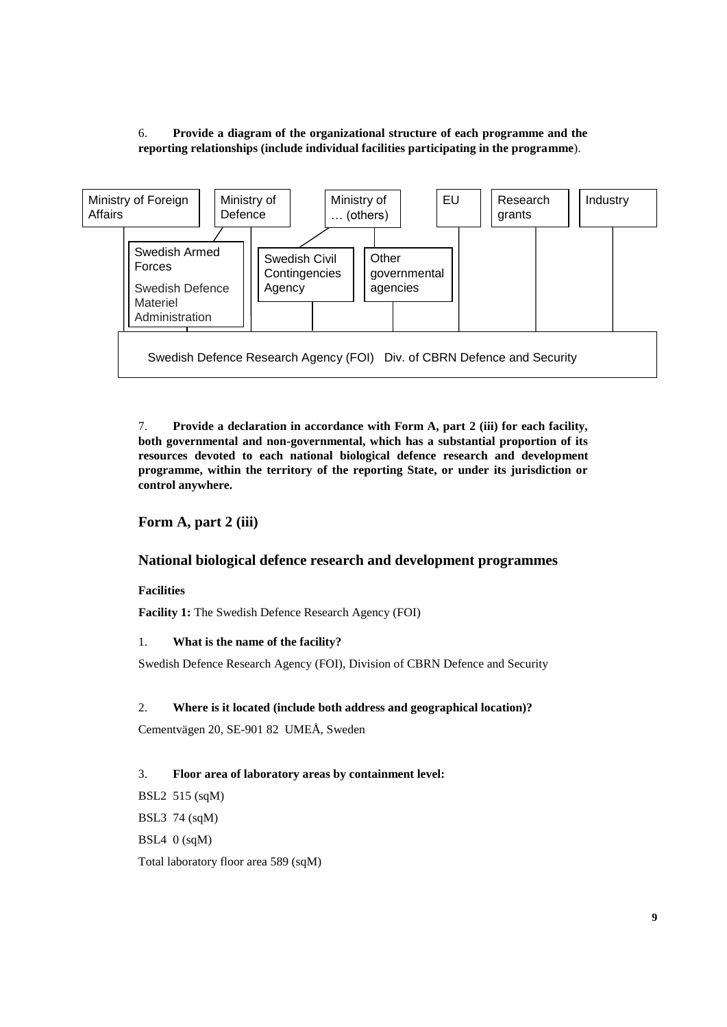# 6. **Provide a diagram of the organizational structure of each programme and the reporting relationships (include individual facilities participating in the programme**).



7. **Provide a declaration in accordance with Form A, part 2 (iii) for each facility, both governmental and non-governmental, which has a substantial proportion of its resources devoted to each national biological defence research and development programme, within the territory of the reporting State, or under its jurisdiction or control anywhere.**

## **Form A, part 2 (iii)**

## **National biological defence research and development programmes**

#### **Facilities**

**Facility 1:** The Swedish Defence Research Agency (FOI)

#### 1. **What is the name of the facility?**

Swedish Defence Research Agency (FOI), Division of CBRN Defence and Security

#### 2. **Where is it located (include both address and geographical location)?**

Cementvägen 20, SE-901 82 UMEÅ, Sweden

#### 3. **Floor area of laboratory areas by containment level:**

BSL2 515 (sqM) BSL3 74 (sqM) BSL4 0 (sqM)

Total laboratory floor area 589 (sqM)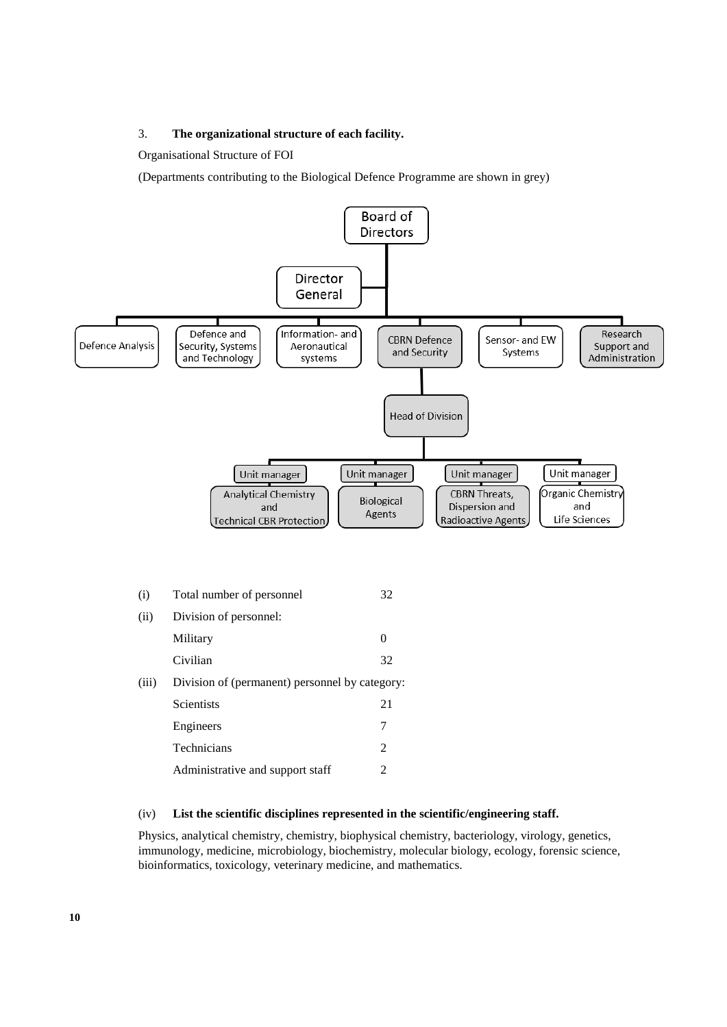#### 3. **The organizational structure of each facility.**

Organisational Structure of FOI

(Departments contributing to the Biological Defence Programme are shown in grey)



#### (iv) **List the scientific disciplines represented in the scientific/engineering staff.**

Physics, analytical chemistry, chemistry, biophysical chemistry, bacteriology, virology, genetics, immunology, medicine, microbiology, biochemistry, molecular biology, ecology, forensic science, bioinformatics, toxicology, veterinary medicine, and mathematics.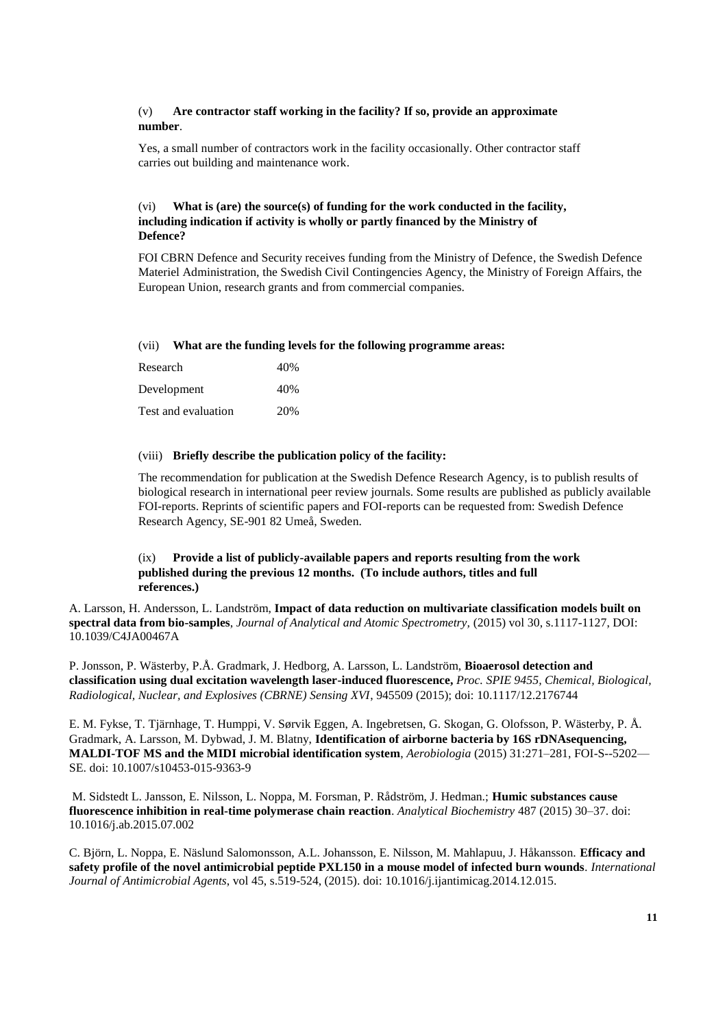#### (v) **Are contractor staff working in the facility? If so, provide an approximate number**.

Yes, a small number of contractors work in the facility occasionally. Other contractor staff carries out building and maintenance work.

## (vi) **What is (are) the source(s) of funding for the work conducted in the facility, including indication if activity is wholly or partly financed by the Ministry of Defence?**

FOI CBRN Defence and Security receives funding from the Ministry of Defence, the Swedish Defence Materiel Administration, the Swedish Civil Contingencies Agency, the Ministry of Foreign Affairs, the European Union, research grants and from commercial companies.

#### (vii) **What are the funding levels for the following programme areas:**

| Research            | 40% |
|---------------------|-----|
| Development         | 40% |
| Test and evaluation | 20% |

#### (viii) **Briefly describe the publication policy of the facility:**

The recommendation for publication at the Swedish Defence Research Agency, is to publish results of biological research in international peer review journals. Some results are published as publicly available FOI-reports. Reprints of scientific papers and FOI-reports can be requested from: Swedish Defence Research Agency, SE-901 82 Umeå, Sweden.

## (ix) **Provide a list of publicly-available papers and reports resulting from the work published during the previous 12 months. (To include authors, titles and full references.)**

A. Larsson, H. Andersson, L. Landström, **Impact of data reduction on multivariate classification models built on spectral data from bio-samples**, *Journal of Analytical and Atomic Spectrometry,* (2015) vol 30, s.1117-1127, DOI: 10.1039/C4JA00467A

P. Jonsson, P. Wästerby, P.Å. Gradmark, J. Hedborg, A. Larsson, L. Landström, **Bioaerosol detection and classification using dual excitation wavelength laser-induced fluorescence,** *Proc. SPIE 9455, Chemical, Biological, Radiological, Nuclear, and Explosives (CBRNE) Sensing XVI*, 945509 (2015); doi: [10.1117/12.2176744](http://dx.doi.org/10.1117/12.2176744)

E. M. Fykse, T. Tjärnhage, T. Humppi, V. Sørvik Eggen, A. Ingebretsen, G. Skogan, G. Olofsson, P. Wästerby, P. Å. Gradmark, A. Larsson, M. Dybwad, J. M. Blatny, **Identification of airborne bacteria by 16S rDNAsequencing, MALDI-TOF MS and the MIDI microbial identification system**, *Aerobiologia* (2015) 31:271–281, FOI-S--5202— SE. doi: 10.1007/s10453-015-9363-9

M. Sidstedt L. Jansson, E. Nilsson, L. Noppa, M. Forsman, P. Rådström, J. Hedman.; **Humic substances cause fluorescence inhibition in real-time polymerase chain reaction**. *Analytical Biochemistry* 487 (2015) 30–37. doi: 10.1016/j.ab.2015.07.002

C. Björn, L. Noppa, E. Näslund Salomonsson, A.L. Johansson, E. Nilsson, M. Mahlapuu, J. Håkansson. **Efficacy and safety profile of the novel antimicrobial peptide PXL150 in a mouse model of infected burn wounds***. International Journal of Antimicrobial Agents*, vol 45, s.519-524, (2015). doi: 10.1016/j.ijantimicag.2014.12.015.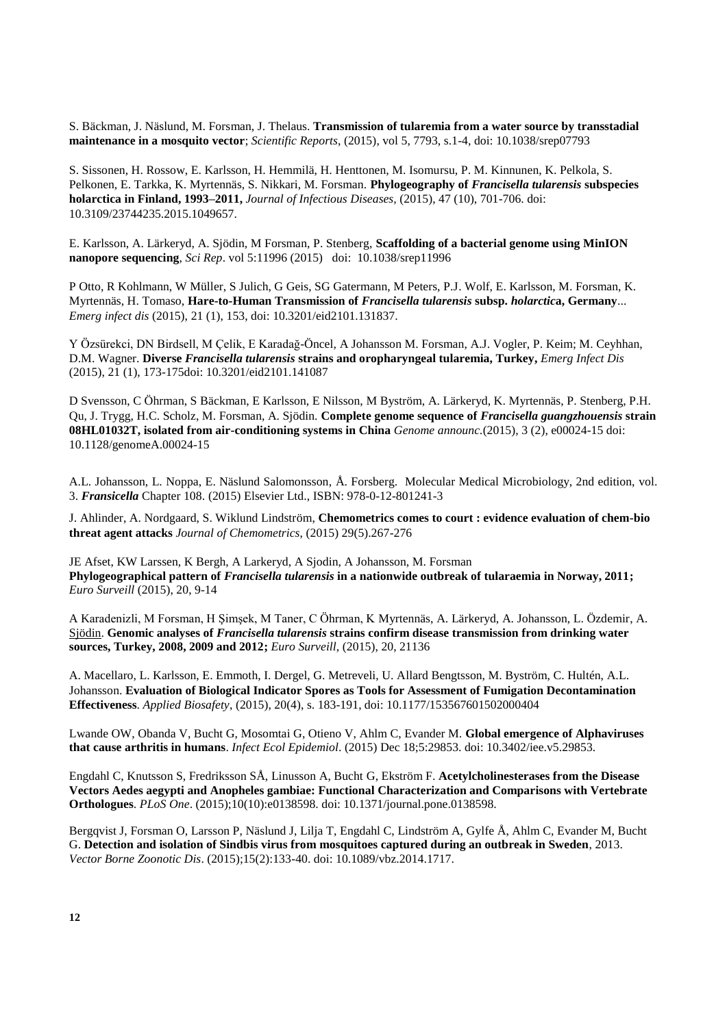S. Bäckman, J. Näslund, M. Forsman, J. Thelaus. **Transmission of tularemia from a water source by transstadial maintenance in a mosquito vector**; *Scientific Reports*, (2015), vol 5, 7793, s.1-4, doi: 10.1038/srep07793

S. Sissonen, H. Rossow, E. Karlsson, H. Hemmilä, H. Henttonen, M. Isomursu, P. M. Kinnunen, K. Pelkola, S. Pelkonen, E. Tarkka, K. Myrtennäs, S. Nikkari, M. Forsman. **Phylogeography of** *[Francisella tularensis](http://www.tandfonline.com/doi/abs/10.3109/23744235.2015.1049657)* **subspecies [holarctica in Finland, 1993–2011,](http://www.tandfonline.com/doi/abs/10.3109/23744235.2015.1049657)** *Journal of Infectious Diseases,* (2015), 47 (10), 701-706. doi: 10.3109/23744235.2015.1049657.

E. Karlsson, A. Lärkeryd, A. Sjödin, M Forsman, P. Stenberg, **[Scaffolding of a bacterial genome using MinION](http://www.nature.com/srep/2015/150707/srep11996/full/srep11996.html)  [nanopore sequencing](http://www.nature.com/srep/2015/150707/srep11996/full/srep11996.html)**, *Sci Rep*. vol 5:11996 (2015) doi: [10.1038/srep11996](http://dx.doi.org/10.1038%2Fsrep11996)

P Otto, R Kohlmann, W Müller, S Julich, G Geis, SG Gatermann, M Peters, P.J. Wolf, E. Karlsson, M. Forsman, K. Myrtennäs, H. Tomaso, **[Hare-to-Human Transmission of](https://scholar.google.se/citations?view_op=view_citation&hl=en&user=68r3-BYAAAAJ&sortby=pubdate&citation_for_view=68r3-BYAAAAJ:vRqMK49ujn8C)** *Francisella tularensis* **subsp.** *holarctic***a, Germany**... *Emerg infect dis* (2015), 21 (1), 153, doi: 10.3201/eid2101.131837.

Y Özsürekci, DN Birdsell, M Çelik, E Karadağ-Öncel, A Johansson M. Forsman, A.J. Vogler, P. Keim; M. Ceyhhan, D.M. Wagner. **Diverse** *Francisella tularensis* **[strains and oropharyngeal tularemia, Turkey,](https://scholar.google.se/citations?view_op=view_citation&hl=en&user=68r3-BYAAAAJ&sortby=pubdate&citation_for_view=68r3-BYAAAAJ:tOudhMTPpwUC)** *Emerg Infect Dis* (2015), 21 (1), 173-175doi: 10.3201/eid2101.141087

D Svensson, C Öhrman, S Bäckman, E Karlsson, E Nilsson, M Byström, A. Lärkeryd, K. Myrtennäs, P. Stenberg, P.H. Qu, J. Trygg, H.C. Scholz, M. Forsman, A. Sjödin. **[Complete genome sequence of](https://scholar.google.se/citations?view_op=view_citation&hl=en&user=68r3-BYAAAAJ&sortby=pubdate&citation_for_view=68r3-BYAAAAJ:geHnlv5EZngC)** *Francisella guangzhouensis* **strain [08HL01032T, isolated from air-conditioning systems in China](https://scholar.google.se/citations?view_op=view_citation&hl=en&user=68r3-BYAAAAJ&sortby=pubdate&citation_for_view=68r3-BYAAAAJ:geHnlv5EZngC)** *Genome announc.*(2015), 3 (2), e00024-15 doi: 10.1128/genomeA.00024-15

A.L. Johansson, L. Noppa, E. Näslund Salomonsson, Å. Forsberg. Molecular Medical Microbiology, 2nd edition, vol. 3. *Fransicella* Chapter 108. (2015) Elsevier Ltd., ISBN: 978-0-12-801241-3

J. Ahlinder, A. Nordgaard, S. Wiklund Lindström, **Chemometrics comes to court : evidence evaluation of chem-bio threat agent attacks** *Journal of Chemometrics*, (2015) 29(5).267-276

JE Afset, KW Larssen, K Bergh, A Larkeryd, A Sjodin, A Johansson, M. Forsman **Phylogeographical pattern of** *Francisella tularensis* **[in a nationwide outbreak of tularaemia in Norway, 2011;](https://scholar.google.se/citations?view_op=view_citation&hl=en&user=68r3-BYAAAAJ&sortby=pubdate&citation_for_view=68r3-BYAAAAJ:LPZeul_q3PIC)**  *Euro Surveill* (2015), 20, 9-14

A Karadenizli, M Forsman, H Şimşek, M Taner, C Öhrman, K Myrtennäs, A. Lärkeryd, A. Johansson, L. Özdemir, A. Sjödin. **Genomic analyses of** *Francisella tularensis* **[strains confirm disease transmission from drinking water](https://scholar.google.se/citations?view_op=view_citation&hl=en&user=68r3-BYAAAAJ&sortby=pubdate&citation_for_view=68r3-BYAAAAJ:bnK-pcrLprsC)  [sources, Turkey, 2008, 2009 and 2012;](https://scholar.google.se/citations?view_op=view_citation&hl=en&user=68r3-BYAAAAJ&sortby=pubdate&citation_for_view=68r3-BYAAAAJ:bnK-pcrLprsC)** *Euro Surveill*, (2015), 20, 21136

A. Macellaro, L. Karlsson, E. Emmoth, I. Dergel, G. Metreveli, U. Allard Bengtsson, M. Byström, C. Hultén, A.L. Johansson. **Evaluation of Biological Indicator Spores as Tools for Assessment of Fumigation Decontamination Effectiveness**. *Applied Biosafety*, (2015), 20(4), s. 183-191, doi: 10.1177/153567601502000404

Lwande OW, Obanda V, Bucht G, Mosomtai G, Otieno V, Ahlm C, Evander M. **Global emergence of Alphaviruses that cause arthritis in humans**. *Infect Ecol Epidemiol*. (2015) Dec 18;5:29853. doi: 10.3402/iee.v5.29853.

Engdahl C, Knutsson S, Fredriksson SÅ, Linusson A, Bucht G, Ekström F. **Acetylcholinesterases from the Disease Vectors Aedes aegypti and Anopheles gambiae: Functional Characterization and Comparisons with Vertebrate Orthologues**. *PLoS One*. (2015);10(10):e0138598. doi: 10.1371/journal.pone.0138598.

Bergqvist J, Forsman O, Larsson P, Näslund J, Lilja T, Engdahl C, Lindström A, Gylfe Å, Ahlm C, Evander M, Bucht G. **Detection and isolation of Sindbis virus from mosquitoes captured during an outbreak in Sweden**, 2013. *Vector Borne Zoonotic Dis*. (2015);15(2):133-40. doi: 10.1089/vbz.2014.1717.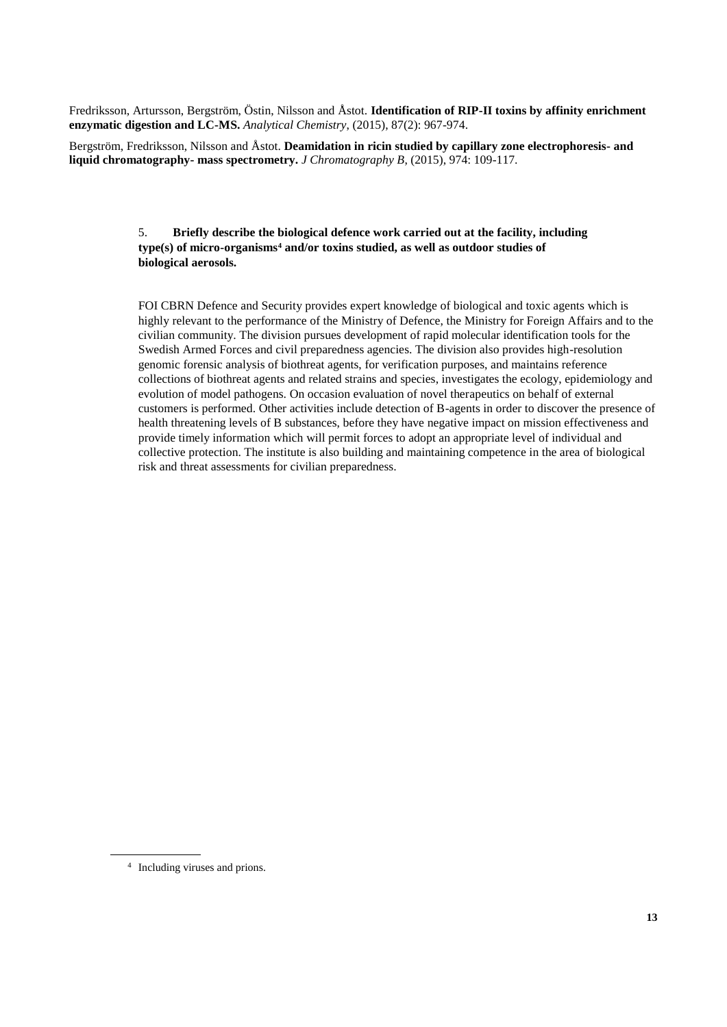Fredriksson, Artursson, Bergström, Östin, Nilsson and Åstot. **Identification of RIP-II toxins by affinity enrichment enzymatic digestion and LC-MS.** *Analytical Chemistry*, (2015), 87(2): 967-974.

Bergström, Fredriksson, Nilsson and Åstot. **Deamidation in ricin studied by capillary zone electrophoresis- and liquid chromatography- mass spectrometry.** *J Chromatography B*, (2015), 974: 109-117.

#### 5. **Briefly describe the biological defence work carried out at the facility, including type(s) of micro-organisms<sup>4</sup> and/or toxins studied, as well as outdoor studies of biological aerosols.**

FOI CBRN Defence and Security provides expert knowledge of biological and toxic agents which is highly relevant to the performance of the Ministry of Defence, the Ministry for Foreign Affairs and to the civilian community. The division pursues development of rapid molecular identification tools for the Swedish Armed Forces and civil preparedness agencies. The division also provides high-resolution genomic forensic analysis of biothreat agents, for verification purposes, and maintains reference collections of biothreat agents and related strains and species, investigates the ecology, epidemiology and evolution of model pathogens. On occasion evaluation of novel therapeutics on behalf of external customers is performed. Other activities include detection of B-agents in order to discover the presence of health threatening levels of B substances, before they have negative impact on mission effectiveness and provide timely information which will permit forces to adopt an appropriate level of individual and collective protection. The institute is also building and maintaining competence in the area of biological risk and threat assessments for civilian preparedness.

<sup>4</sup> Including viruses and prions.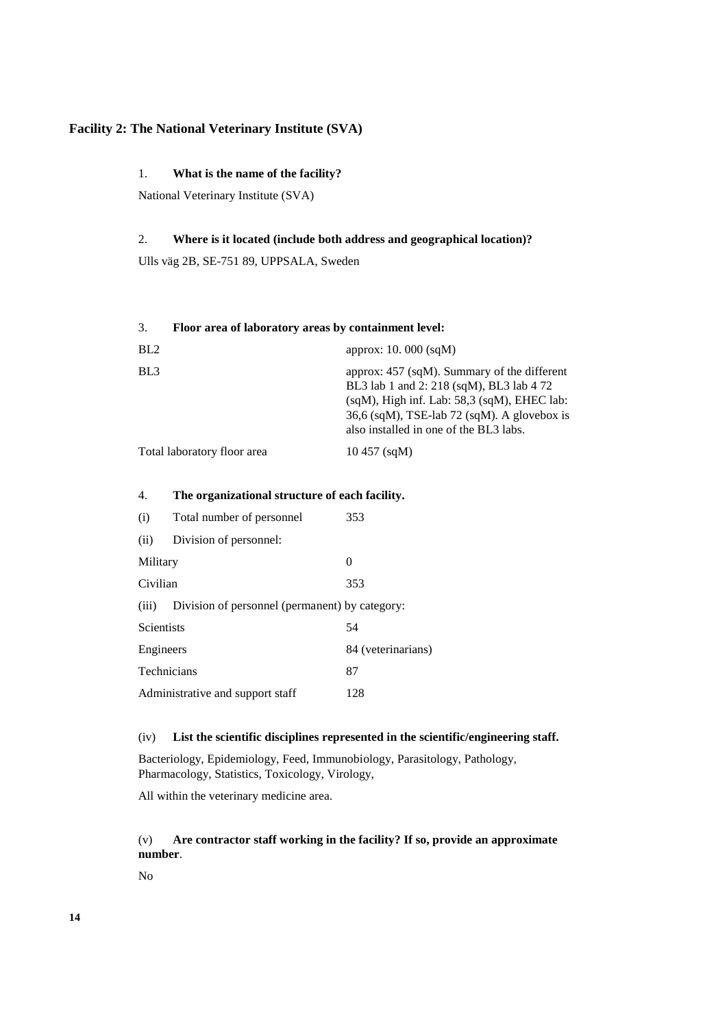# **Facility 2: The National Veterinary Institute (SVA)**

## 1. **What is the name of the facility?**

National Veterinary Institute (SVA)

## 2. **Where is it located (include both address and geographical location)?**

Ulls väg 2B, SE-751 89, UPPSALA, Sweden

#### 3. **Floor area of laboratory areas by containment level:**

| BL2                         | approx: $10.000$ (sqM)                                                                                                                                                                                                                    |
|-----------------------------|-------------------------------------------------------------------------------------------------------------------------------------------------------------------------------------------------------------------------------------------|
| BL <sub>3</sub>             | approx: $457$ (sqM). Summary of the different<br>BL3 lab 1 and 2: 218 (sqM), BL3 lab 4 72<br>$(sqM)$ , High inf. Lab: 58,3 $(sqM)$ , EHEC lab:<br>$36,6$ (sqM), TSE-lab 72 (sqM). A glovebox is<br>also installed in one of the BL3 labs. |
| Total laboratory floor area | $10\,457$ (sqM)                                                                                                                                                                                                                           |

# 4. **The organizational structure of each facility.**

| (i)                | Total number of personnel                      | 353                |
|--------------------|------------------------------------------------|--------------------|
| (ii)               | Division of personnel:                         |                    |
| Military           |                                                | 0                  |
| Civilian           |                                                | 353                |
| (iii)              | Division of personnel (permanent) by category: |                    |
| <b>Scientists</b>  |                                                | 54                 |
| Engineers          |                                                | 84 (veterinarians) |
| <b>Technicians</b> |                                                | 87                 |
|                    | Administrative and support staff               | 128                |

#### (iv) **List the scientific disciplines represented in the scientific/engineering staff.**

Bacteriology, Epidemiology, Feed, Immunobiology, Parasitology, Pathology, Pharmacology, Statistics, Toxicology, Virology,

All within the veterinary medicine area.

# (v) **Are contractor staff working in the facility? If so, provide an approximate number**.

No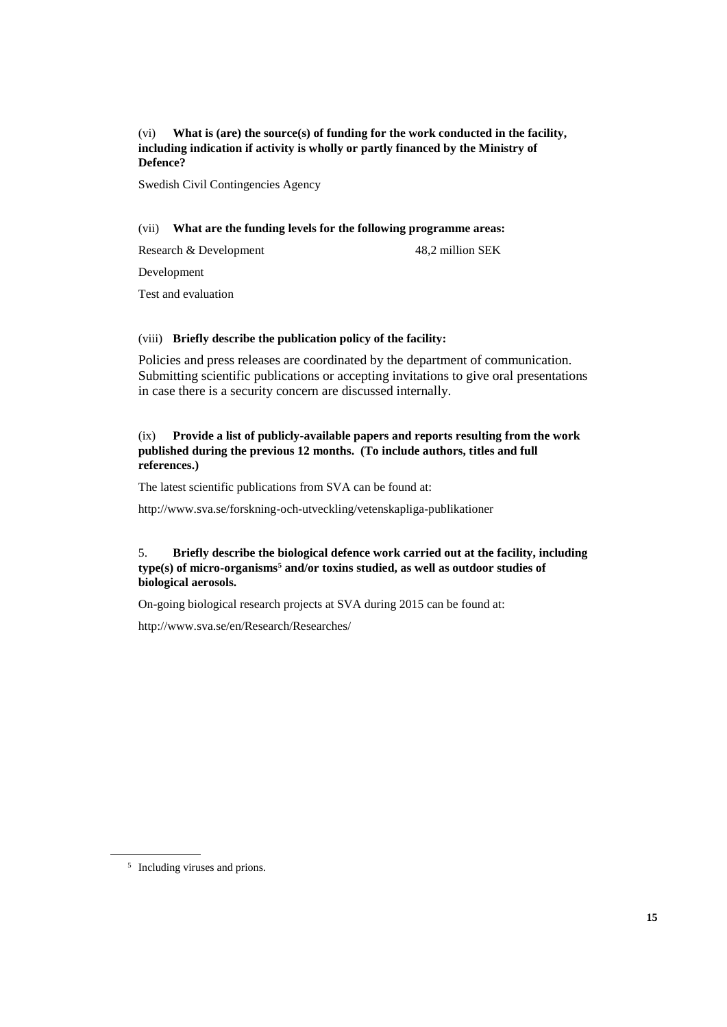(vi) **What is (are) the source(s) of funding for the work conducted in the facility, including indication if activity is wholly or partly financed by the Ministry of Defence?**

Swedish Civil Contingencies Agency

#### (vii) **What are the funding levels for the following programme areas:**

Research & Development 48,2 million SEK

Development

Test and evaluation

#### (viii) **Briefly describe the publication policy of the facility:**

Policies and press releases are coordinated by the department of communication. Submitting scientific publications or accepting invitations to give oral presentations in case there is a security concern are discussed internally.

#### (ix) **Provide a list of publicly-available papers and reports resulting from the work published during the previous 12 months. (To include authors, titles and full references.)**

The latest scientific publications from SVA can be found at:

<http://www.sva.se/forskning-och-utveckling/vetenskapliga-publikationer>

#### 5. **Briefly describe the biological defence work carried out at the facility, including type(s) of micro-organisms<sup>5</sup> and/or toxins studied, as well as outdoor studies of biological aerosols.**

On-going biological research projects at SVA during 2015 can be found at:

<http://www.sva.se/en/Research/Researches/>

<sup>5</sup> Including viruses and prions.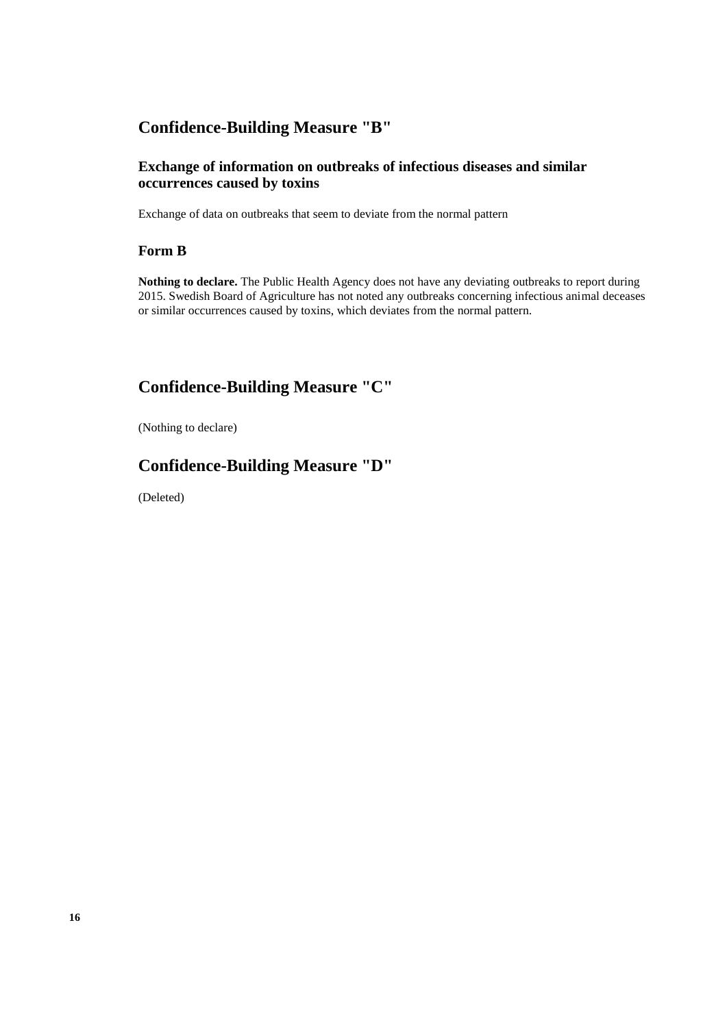# **Confidence-Building Measure "B"**

# **Exchange of information on outbreaks of infectious diseases and similar occurrences caused by toxins**

Exchange of data on outbreaks that seem to deviate from the normal pattern

# **Form B**

**Nothing to declare.** The Public Health Agency does not have any deviating outbreaks to report during 2015. Swedish Board of Agriculture has not noted any outbreaks concerning infectious animal deceases or similar occurrences caused by toxins, which deviates from the normal pattern.

# **Confidence-Building Measure "C"**

(Nothing to declare)

# **Confidence-Building Measure "D"**

(Deleted)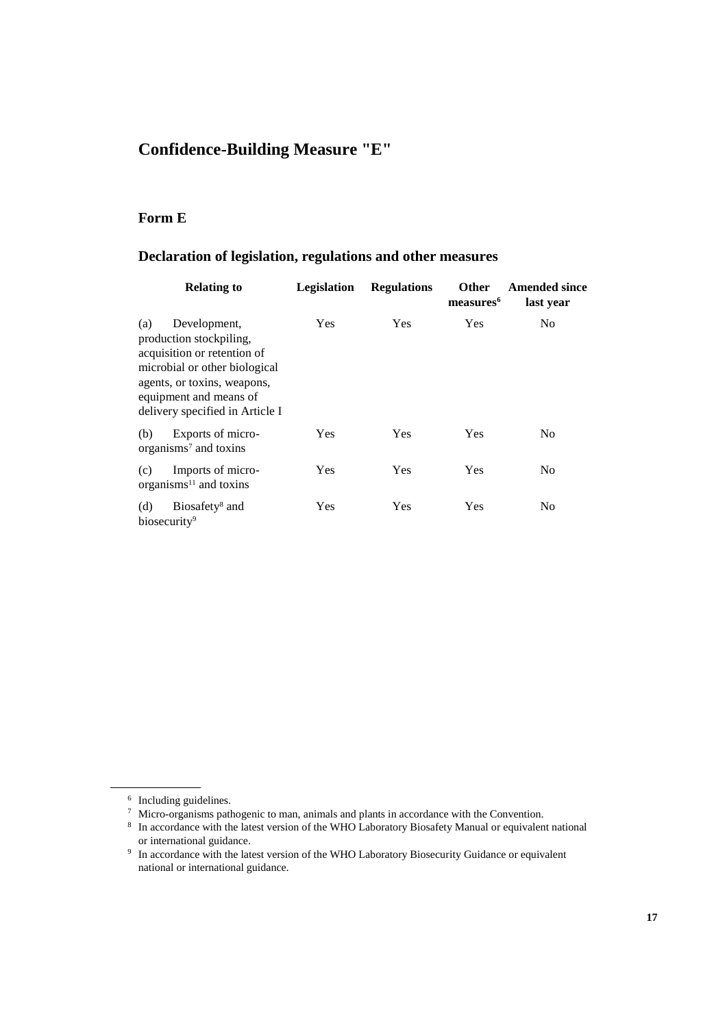# **Confidence-Building Measure "E"**

# **Form E**

# **Declaration of legislation, regulations and other measures**

| <b>Relating to</b>                                                                                                                                                                                         | <b>Legislation</b> | <b>Regulations</b> | <b>Other</b><br>measures <sup>6</sup> | <b>Amended since</b><br>last year |
|------------------------------------------------------------------------------------------------------------------------------------------------------------------------------------------------------------|--------------------|--------------------|---------------------------------------|-----------------------------------|
| Development,<br>(a)<br>production stockpiling,<br>acquisition or retention of<br>microbial or other biological<br>agents, or toxins, weapons,<br>equipment and means of<br>delivery specified in Article I | Yes                | Yes                | Yes                                   | N <sub>0</sub>                    |
| Exports of micro-<br>(b)<br>organisms <sup>7</sup> and toxins                                                                                                                                              | <b>Yes</b>         | <b>Yes</b>         | Yes                                   | N <sub>0</sub>                    |
| Imports of micro-<br>(c)<br>organisms $11$ and toxins                                                                                                                                                      | Yes                | Yes                | Yes                                   | N <sub>0</sub>                    |
| (d)<br>Biosafety <sup>8</sup> and<br>biosecurity <sup>9</sup>                                                                                                                                              | Yes                | Yes                | Yes                                   | No                                |

<sup>6</sup> Including guidelines.

 $\frac{7}{8}$  Micro-organisms pathogenic to man, animals and plants in accordance with the Convention.<br>
In accordance with the latest version of the WHO Laboratory Biosafety Manual or equivalent national or international guidance.

<sup>&</sup>lt;sup>9</sup> In accordance with the latest version of the WHO Laboratory Biosecurity Guidance or equivalent national or international guidance.